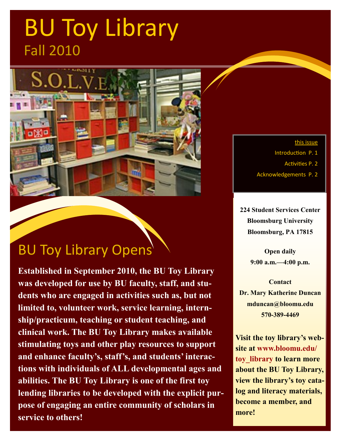# BU Toy Library Fall 2010



### BU Toy Library Opens

**Established in September 2010, the BU Toy Library was developed for use by BU faculty, staff, and students who are engaged in activities such as, but not limited to, volunteer work, service learning, internship/practicum, teaching or student teaching, and clinical work. The BU Toy Library makes available stimulating toys and other play resources to support and enhance faculty's, staff's, and students' interactions with individuals of ALL developmental ages and abilities. The BU Toy Library is one of the first toy lending libraries to be developed with the explicit purpose of engaging an entire community of scholars in service to others!**

this issue

Introduction P. 1

Activities P. 2

Acknowledgements P. 2

**224 Student Services Center Bloomsburg University Bloomsburg, PA 17815**

> **Open daily 9:00 a.m.—4:00 p.m.**

**Contact Dr. Mary Katherine Duncan mduncan@bloomu.edu 570-389-4469**

**Visit the toy library's website at www.bloomu.edu/ toy\_library to learn more about the BU Toy Library, view the library's toy catalog and literacy materials, become a member, and more!**